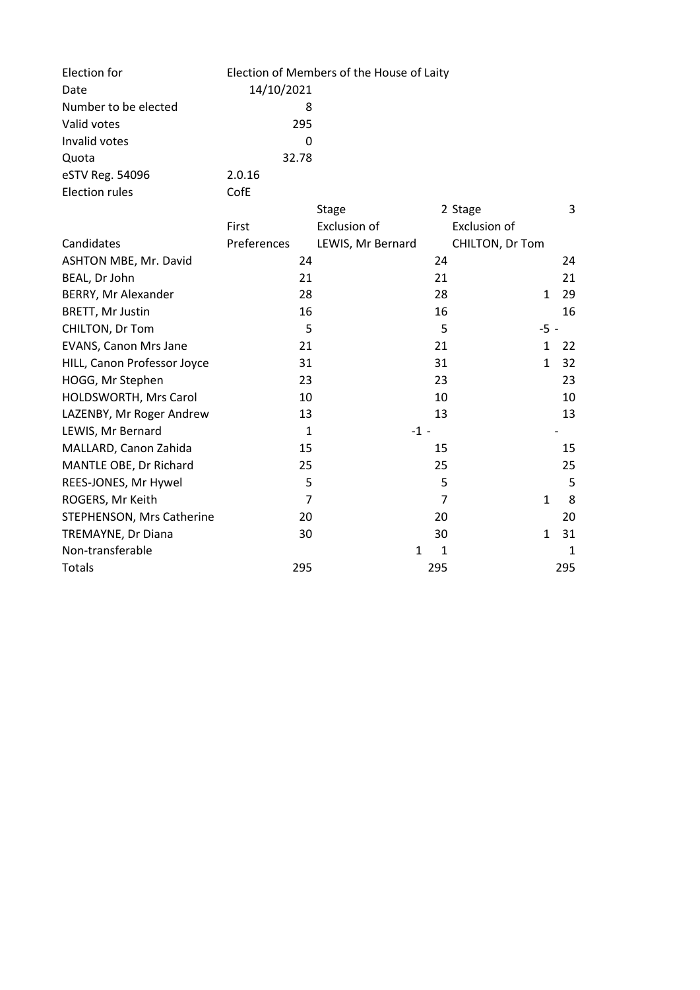| Election for                | Election of Members of the House of Laity |                     |                |                 |     |
|-----------------------------|-------------------------------------------|---------------------|----------------|-----------------|-----|
| Date                        | 14/10/2021                                |                     |                |                 |     |
| Number to be elected        | 8                                         |                     |                |                 |     |
| Valid votes                 | 295                                       |                     |                |                 |     |
| Invalid votes               | <sup>0</sup>                              |                     |                |                 |     |
| Quota                       | 32.78                                     |                     |                |                 |     |
| eSTV Reg. 54096             | 2.0.16                                    |                     |                |                 |     |
| <b>Election rules</b>       | CofE                                      |                     |                |                 |     |
|                             |                                           | <b>Stage</b>        |                | 2 Stage         | 3   |
|                             | First                                     | <b>Exclusion of</b> |                | Exclusion of    |     |
| Candidates                  | Preferences                               | LEWIS, Mr Bernard   |                | CHILTON, Dr Tom |     |
| ASHTON MBE, Mr. David       | 24                                        |                     | 24             |                 | 24  |
| BEAL, Dr John               | 21                                        |                     | 21             |                 | 21  |
| BERRY, Mr Alexander         | 28                                        |                     | 28             | $\mathbf{1}$    | 29  |
| <b>BRETT, Mr Justin</b>     | 16                                        |                     | 16             |                 | 16  |
| CHILTON, Dr Tom             | 5                                         |                     | 5              | $-5 -$          |     |
| EVANS, Canon Mrs Jane       | 21                                        |                     | 21             | $\mathbf{1}$    | 22  |
| HILL, Canon Professor Joyce | 31                                        |                     | 31             | $\mathbf{1}$    | 32  |
| HOGG, Mr Stephen            | 23                                        |                     | 23             |                 | 23  |
| HOLDSWORTH, Mrs Carol       | 10                                        |                     | 10             |                 | 10  |
| LAZENBY, Mr Roger Andrew    | 13                                        |                     | 13             |                 | 13  |
| LEWIS, Mr Bernard           | $\mathbf{1}$                              | $-1 -$              |                |                 |     |
| MALLARD, Canon Zahida       | 15                                        |                     | 15             |                 | 15  |
| MANTLE OBE, Dr Richard      | 25                                        |                     | 25             |                 | 25  |
| REES-JONES, Mr Hywel        | 5                                         |                     | 5              |                 | 5   |
| ROGERS, Mr Keith            | $\overline{7}$                            |                     | $\overline{7}$ | $\mathbf{1}$    | 8   |
| STEPHENSON, Mrs Catherine   | 20                                        |                     | 20             |                 | 20  |
| TREMAYNE, Dr Diana          | 30                                        |                     | 30             | $\mathbf{1}$    | 31  |
| Non-transferable            |                                           | 1                   | 1              |                 | 1   |
| <b>Totals</b>               | 295                                       |                     | 295            |                 | 295 |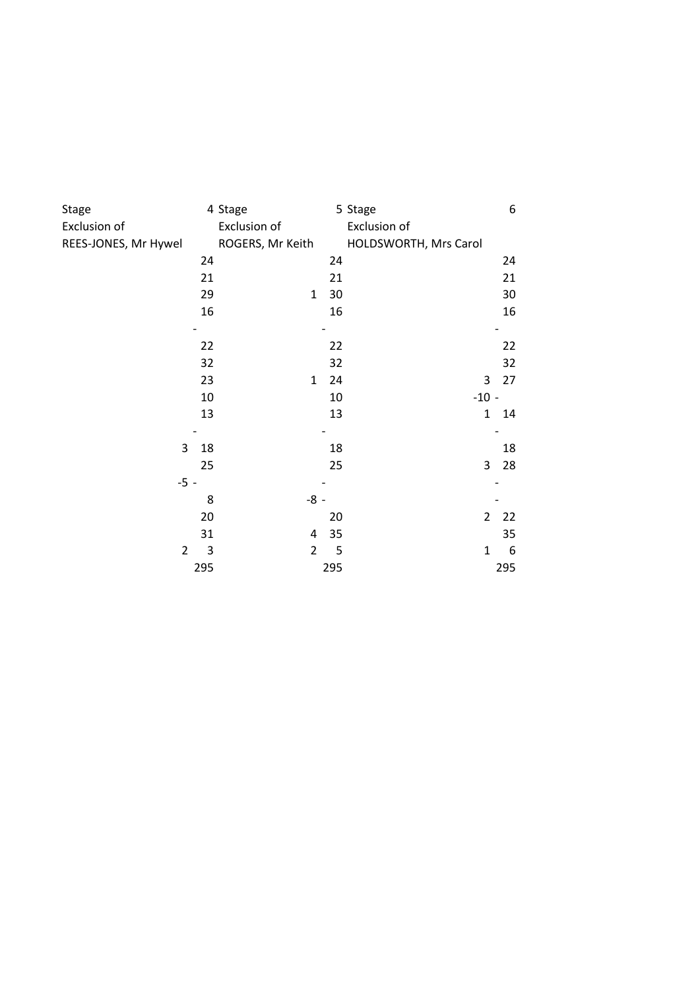| Stage                |     | 4 Stage          |     | 5 Stage               |                | 6   |
|----------------------|-----|------------------|-----|-----------------------|----------------|-----|
| <b>Exclusion of</b>  |     | Exclusion of     |     | Exclusion of          |                |     |
| REES-JONES, Mr Hywel |     | ROGERS, Mr Keith |     | HOLDSWORTH, Mrs Carol |                |     |
|                      | 24  |                  | 24  |                       |                | 24  |
|                      | 21  |                  | 21  |                       |                | 21  |
|                      | 29  | $\mathbf{1}$     | 30  |                       |                | 30  |
|                      | 16  |                  | 16  |                       |                | 16  |
|                      |     |                  |     |                       |                |     |
|                      | 22  |                  | 22  |                       |                | 22  |
|                      | 32  |                  | 32  |                       |                | 32  |
|                      | 23  | $\mathbf{1}$     | 24  |                       | 3              | 27  |
|                      | 10  |                  | 10  |                       | $-10 -$        |     |
|                      | 13  |                  | 13  |                       | $\mathbf 1$    | 14  |
|                      |     |                  |     |                       |                |     |
| 3                    | 18  |                  | 18  |                       |                | 18  |
|                      | 25  |                  | 25  |                       | 3              | 28  |
| $-5 -$               |     |                  |     |                       |                |     |
|                      | 8   | $-8 -$           |     |                       |                |     |
|                      | 20  |                  | 20  |                       | $\overline{2}$ | 22  |
|                      | 31  | 4                | 35  |                       |                | 35  |
| $\overline{2}$       | 3   | $\overline{2}$   | 5   |                       | $\mathbf{1}$   | 6   |
|                      | 295 |                  | 295 |                       |                | 295 |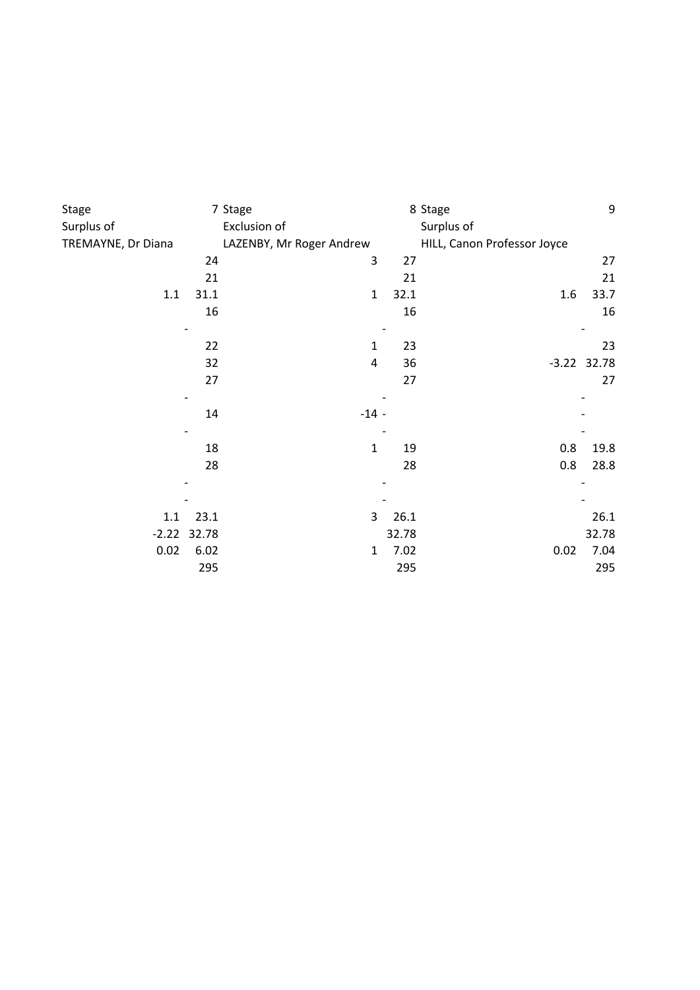| <b>Stage</b>       |       | 7 Stage                  |       | 8 Stage                     | 9             |
|--------------------|-------|--------------------------|-------|-----------------------------|---------------|
| Surplus of         |       | Exclusion of             |       | Surplus of                  |               |
| TREMAYNE, Dr Diana |       | LAZENBY, Mr Roger Andrew |       | HILL, Canon Professor Joyce |               |
|                    | 24    | 3                        | 27    |                             | 27            |
|                    | 21    |                          | 21    |                             | 21            |
| 1.1                | 31.1  | $\mathbf{1}$             | 32.1  | 1.6                         | 33.7          |
|                    | 16    |                          | 16    |                             | 16            |
|                    | 22    | 1                        | 23    |                             | 23            |
|                    | 32    | 4                        | 36    |                             | $-3.22$ 32.78 |
|                    | 27    |                          | 27    |                             | 27            |
|                    | 14    | $-14 -$                  |       |                             |               |
|                    | 18    | $\mathbf{1}$             | 19    | 0.8                         | 19.8          |
|                    | 28    |                          | 28    | 0.8                         | 28.8          |
|                    |       |                          |       |                             |               |
| 1.1                | 23.1  | 3                        | 26.1  |                             | 26.1          |
| $-2.22$            | 32.78 |                          | 32.78 |                             | 32.78         |
| 0.02               | 6.02  | $\mathbf{1}$             | 7.02  | 0.02                        | 7.04          |
|                    | 295   |                          | 295   |                             | 295           |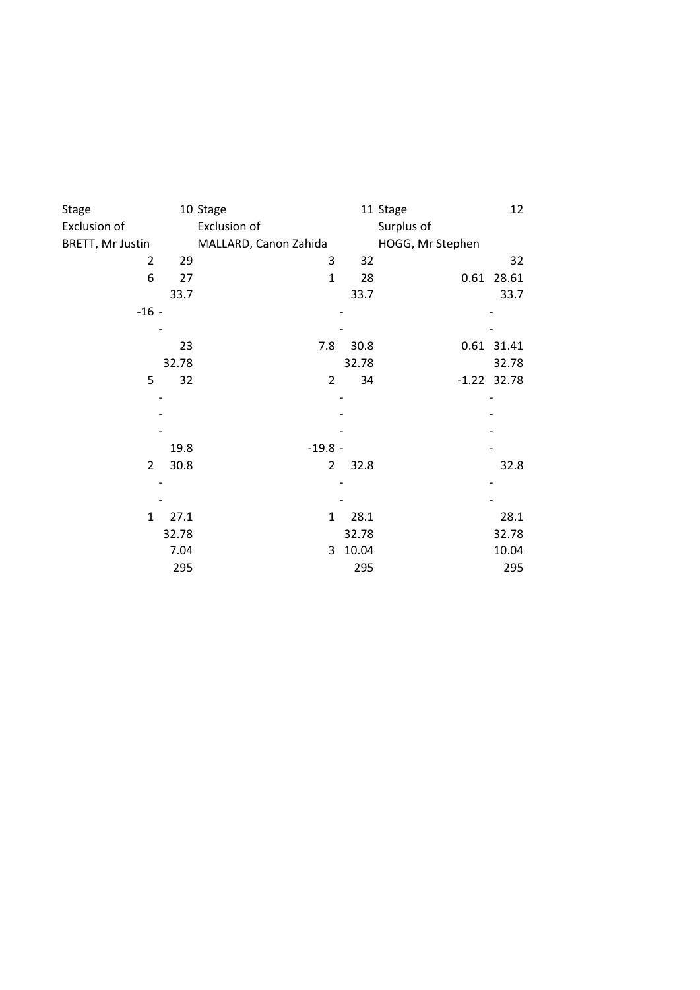| <b>Stage</b>     |       | 10 Stage              |       | 12<br>11 Stage   |
|------------------|-------|-----------------------|-------|------------------|
| Exclusion of     |       | Exclusion of          |       | Surplus of       |
| BRETT, Mr Justin |       | MALLARD, Canon Zahida |       | HOGG, Mr Stephen |
| $\overline{2}$   | 29    | 3                     | 32    | 32               |
| 6                | 27    | $\mathbf{1}$          | 28    | 0.61 28.61       |
|                  | 33.7  |                       | 33.7  | 33.7             |
| $-16 -$          |       |                       |       |                  |
|                  |       |                       |       |                  |
|                  | 23    | 7.8                   | 30.8  | 0.61 31.41       |
|                  | 32.78 |                       | 32.78 | 32.78            |
| 5                | 32    | $\overline{2}$        | 34    | $-1.22$ 32.78    |
|                  |       |                       |       |                  |
|                  |       |                       |       |                  |
|                  |       |                       |       |                  |
|                  | 19.8  | $-19.8 -$             |       |                  |
| $\overline{2}$   | 30.8  | $\overline{2}$        | 32.8  | 32.8             |
|                  |       |                       |       |                  |
|                  |       |                       |       |                  |
| 1                | 27.1  | $\mathbf{1}$          | 28.1  | 28.1             |
|                  | 32.78 |                       | 32.78 | 32.78            |
|                  | 7.04  | 3                     | 10.04 | 10.04            |
|                  | 295   |                       | 295   | 295              |